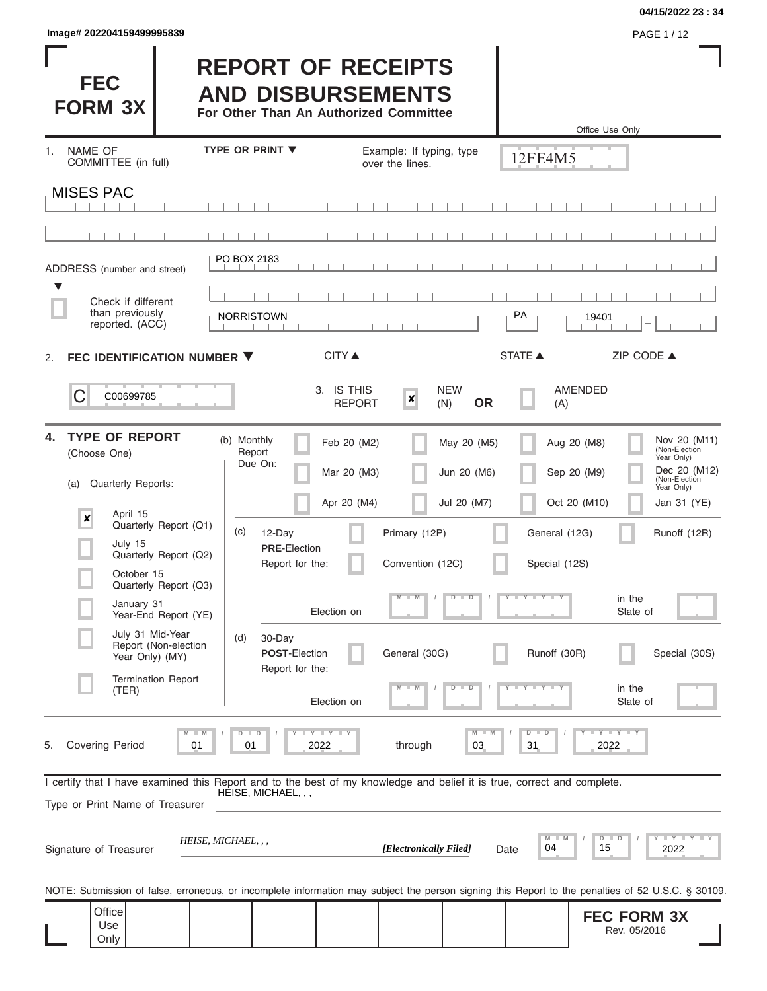| PAGE 1/12 |
|-----------|
|           |

I

#### **04/15/2022 23 : 34**

I

| <b>FEC</b><br><b>FORM 3X</b>                                                                                                                               |                                               |                                                   | <b>REPORT OF RECEIPTS</b><br><b>AND DISBURSEMENTS</b><br>For Other Than An Authorized Committee |                                             |                                |                               | Office Use Only                    |                                                                                            |
|------------------------------------------------------------------------------------------------------------------------------------------------------------|-----------------------------------------------|---------------------------------------------------|-------------------------------------------------------------------------------------------------|---------------------------------------------|--------------------------------|-------------------------------|------------------------------------|--------------------------------------------------------------------------------------------|
| NAME OF<br>$1_{-}$<br>COMMITTEE (in full)                                                                                                                  |                                               | <b>TYPE OR PRINT ▼</b>                            |                                                                                                 | Example: If typing, type<br>over the lines. |                                | 12FE4M5                       |                                    |                                                                                            |
| <b>MISES PAC</b>                                                                                                                                           |                                               |                                                   |                                                                                                 |                                             |                                |                               |                                    |                                                                                            |
|                                                                                                                                                            |                                               |                                                   |                                                                                                 |                                             |                                |                               |                                    |                                                                                            |
|                                                                                                                                                            |                                               | PO BOX 2183                                       |                                                                                                 |                                             |                                |                               |                                    |                                                                                            |
| ADDRESS (number and street)                                                                                                                                |                                               |                                                   |                                                                                                 |                                             |                                |                               |                                    |                                                                                            |
| Check if different<br>than previously<br>reported. (ACC)                                                                                                   |                                               | <b>NORRISTOWN</b>                                 |                                                                                                 |                                             |                                | РA                            | 19401                              |                                                                                            |
| FEC IDENTIFICATION NUMBER ▼<br>2.                                                                                                                          |                                               |                                                   | <b>CITY ▲</b>                                                                                   |                                             |                                | <b>STATE ▲</b>                |                                    | ZIP CODE ▲                                                                                 |
| C<br>C00699785                                                                                                                                             |                                               |                                                   | 3. IS THIS<br><b>REPORT</b>                                                                     | $\boldsymbol{x}$                            | <b>NEW</b><br><b>OR</b><br>(N) | (A)                           | AMENDED                            |                                                                                            |
| <b>TYPE OF REPORT</b><br>4.<br>(Choose One)<br>Quarterly Reports:<br>(a)                                                                                   |                                               | (b) Monthly<br>Report<br>Due On:                  | Feb 20 (M2)<br>Mar 20 (M3)                                                                      |                                             | May 20 (M5)<br>Jun 20 (M6)     |                               | Aug 20 (M8)<br>Sep 20 (M9)         | Nov 20 (M11)<br>(Non-Election<br>Year Only)<br>Dec 20 (M12)<br>(Non-Election<br>Year Only) |
| April 15<br>$\pmb{\times}$                                                                                                                                 | Quarterly Report (Q1)                         |                                                   | Apr 20 (M4)                                                                                     |                                             | Jul 20 (M7)                    |                               | Oct 20 (M10)                       | Jan 31 (YE)                                                                                |
| July 15                                                                                                                                                    | Quarterly Report (Q2)                         | (c)<br>12-Day<br><b>PRE-Election</b>              |                                                                                                 | Primary (12P)                               |                                | General (12G)                 |                                    | Runoff (12R)                                                                               |
| October 15                                                                                                                                                 |                                               | Report for the:                                   |                                                                                                 | Convention (12C)                            |                                | Special (12S)                 |                                    |                                                                                            |
| January 31                                                                                                                                                 | Quarterly Report (Q3)<br>Year-End Report (YE) |                                                   | Election on                                                                                     | $M - M$                                     | $D$ $D$                        | $Y - Y - Y - Y$               | in the<br>State of                 |                                                                                            |
| July 31 Mid-Year<br>Year Only) (MY)                                                                                                                        | Report (Non-election                          | (d)<br>30-Day<br>POST-Election<br>Report for the: |                                                                                                 | General (30G)                               |                                | Runoff (30R)                  |                                    | Special (30S)                                                                              |
| (TER)                                                                                                                                                      | <b>Termination Report</b>                     |                                                   | Election on                                                                                     |                                             |                                |                               | in the<br>State of                 |                                                                                            |
| <b>Covering Period</b><br>5.                                                                                                                               | $M$ $M$<br>01                                 | $D$ $D$<br>01                                     | $T - Y$ $T - Y$ $T - Y$<br>2022                                                                 | through                                     | $M - M$<br>03                  | $D$ $D$<br>31                 | $T$ $Y$ $T$ $Y$ $T$<br>2022        |                                                                                            |
| I certify that I have examined this Report and to the best of my knowledge and belief it is true, correct and complete.<br>Type or Print Name of Treasurer |                                               | HEISE, MICHAEL, , ,                               |                                                                                                 |                                             |                                |                               |                                    |                                                                                            |
| Signature of Treasurer                                                                                                                                     |                                               | HEISE, MICHAEL, , ,                               |                                                                                                 | [Electronically Filed]                      |                                | $M$ $\Box$<br>M<br>04<br>Date | D<br>D<br>15                       | YTEYTEYTE<br>2022                                                                          |
| NOTE: Submission of false, erroneous, or incomplete information may subject the person signing this Report to the penalties of 52 U.S.C. § 30109.          |                                               |                                                   |                                                                                                 |                                             |                                |                               |                                    |                                                                                            |
| Office<br>Use<br>Only                                                                                                                                      |                                               |                                                   |                                                                                                 |                                             |                                |                               | <b>FEC FORM 3X</b><br>Rev. 05/2016 |                                                                                            |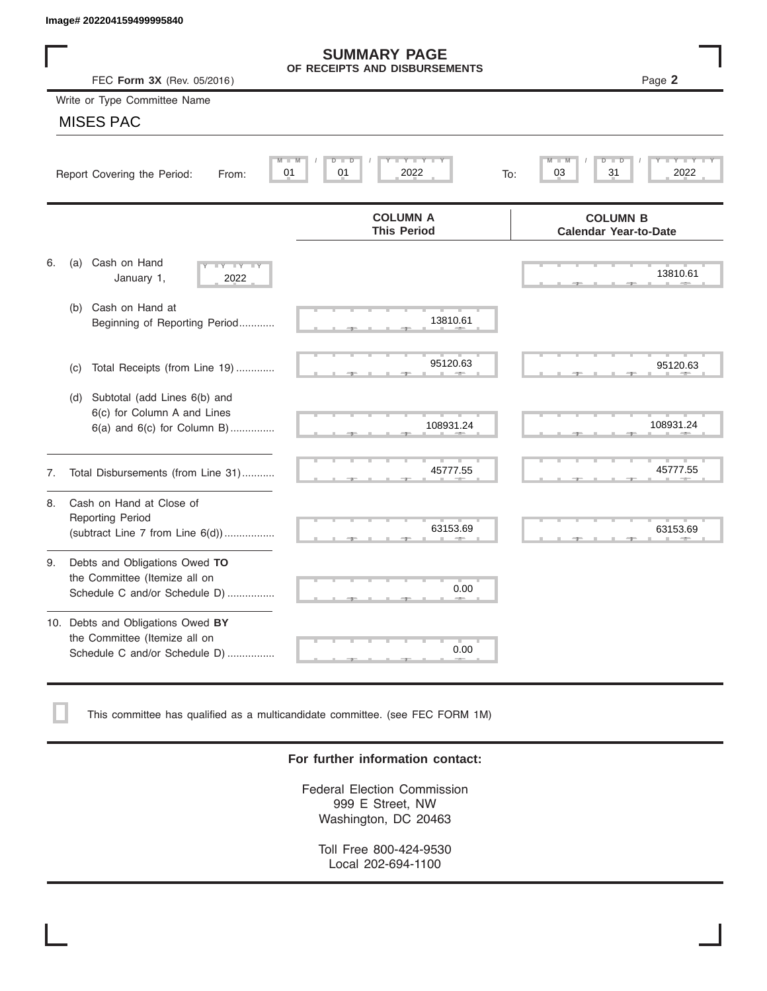|    | Image# 202204159499995840                                                                             |                                                      |                                                 |
|----|-------------------------------------------------------------------------------------------------------|------------------------------------------------------|-------------------------------------------------|
|    | FEC Form 3X (Rev. 05/2016)                                                                            | <b>SUMMARY PAGE</b><br>OF RECEIPTS AND DISBURSEMENTS | Page 2                                          |
|    | Write or Type Committee Name                                                                          |                                                      |                                                 |
|    | <b>MISES PAC</b>                                                                                      |                                                      |                                                 |
|    | M<br>01<br>Report Covering the Period:<br>From:                                                       | Y TYT<br>$D$ $D$<br>M<br>01<br>2022                  | D<br>31<br>2022<br>03<br>To:                    |
|    |                                                                                                       | <b>COLUMN A</b><br><b>This Period</b>                | <b>COLUMN B</b><br><b>Calendar Year-to-Date</b> |
| 6. | Cash on Hand<br>(a)<br>$-Y - Y - Y$<br>January 1,<br>2022                                             |                                                      | 13810.61                                        |
|    | Cash on Hand at<br>(b)<br>Beginning of Reporting Period                                               | 13810.61                                             |                                                 |
|    | Total Receipts (from Line 19)<br>(c)                                                                  | 95120.63                                             | 95120.63                                        |
|    | Subtotal (add Lines 6(b) and<br>(d)<br>6(c) for Column A and Lines<br>$6(a)$ and $6(c)$ for Column B) | 108931.24                                            | 108931.24                                       |
| 7. | Total Disbursements (from Line 31)                                                                    | 45777.55                                             | 45777.55                                        |
| 8. | Cash on Hand at Close of<br><b>Reporting Period</b><br>(subtract Line $7$ from Line $6(d)$ )          | 63153.69                                             | 63153.69                                        |
| 9. | Debts and Obligations Owed TO<br>the Committee (Itemize all on<br>Schedule C and/or Schedule D)       | 0.00                                                 |                                                 |
|    | 10. Debts and Obligations Owed BY<br>the Committee (Itemize all on<br>Schedule C and/or Schedule D)   | T.<br>0.00                                           |                                                 |

This committee has qualified as a multicandidate committee. (see FEC FORM 1M)

### **For further information contact:**

Federal Election Commission 999 E Street, NW Washington, DC 20463

Toll Free 800-424-9530 Local 202-694-1100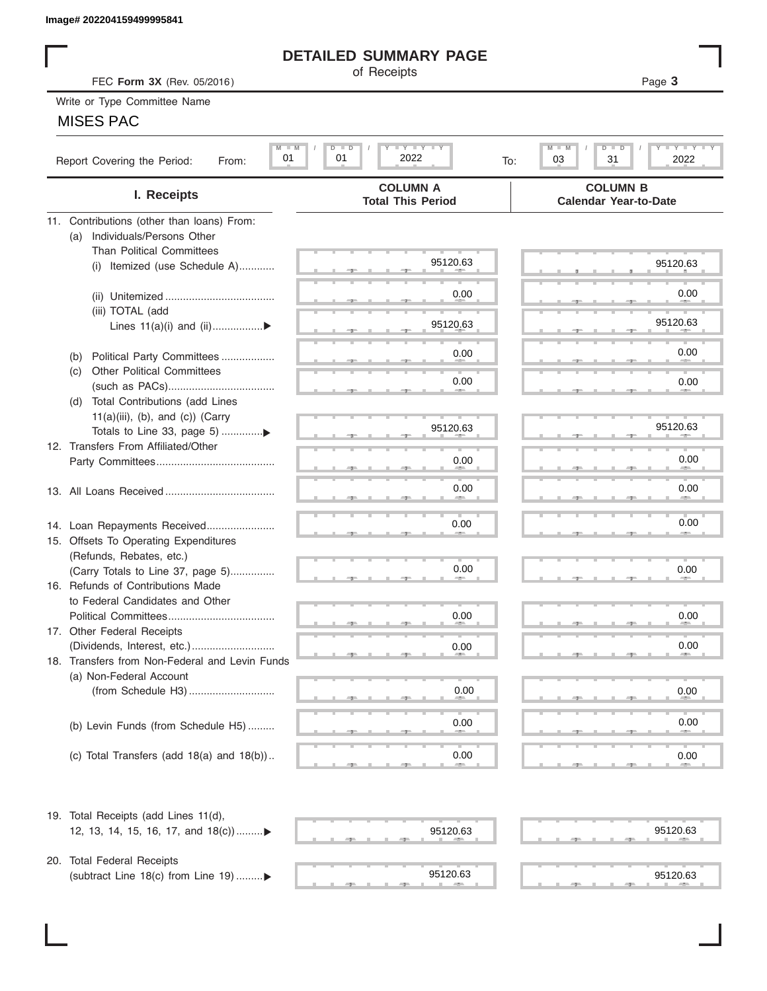## **DETAILED SUMMARY PAGE**

## MISES PAC

| Image# 202204159499995841                             |                                                             |                                                                      |
|-------------------------------------------------------|-------------------------------------------------------------|----------------------------------------------------------------------|
|                                                       | <b>DETAILED SUMMARY PAGE</b>                                |                                                                      |
| FEC Form 3X (Rev. 05/2016)                            | of Receipts                                                 | Page 3                                                               |
| Write or Type Committee Name                          |                                                             |                                                                      |
| <b>MISES PAC</b>                                      |                                                             |                                                                      |
| $M - M$<br>01<br>Report Covering the Period:<br>From: | $I - Y - I - Y - I - Y$<br>$\Box$<br>D<br>2022<br>01<br>To: | $-1$ $-1$ $-1$ $-1$ $-1$<br>M<br>$D$ $\Box$<br>ח<br>03<br>31<br>2022 |
| I. Receipts                                           | <b>COLUMN A</b><br><b>Total This Period</b>                 | <b>COLUMN B</b><br><b>Calendar Year-to-Date</b>                      |
| 11. Contributions (other than loans) From:            |                                                             |                                                                      |
| Individuals/Persons Other<br>(a)                      |                                                             |                                                                      |
| <b>Than Political Committees</b>                      | 95120.63                                                    |                                                                      |
| Itemized (use Schedule A)<br>(i)                      |                                                             | 95120.63                                                             |
|                                                       | 0.00                                                        | 0.00                                                                 |
| (iii) TOTAL (add                                      |                                                             |                                                                      |
| Lines $11(a)(i)$ and $(ii)$                           | 95120.63                                                    | 95120.63                                                             |
|                                                       |                                                             |                                                                      |
| Political Party Committees<br>(b)                     | 0.00                                                        | 0.00                                                                 |
| <b>Other Political Committees</b><br>(C)              |                                                             |                                                                      |
|                                                       | 0.00                                                        | 0.00                                                                 |
| Total Contributions (add Lines<br>(d)                 |                                                             |                                                                      |
| $11(a)(iii)$ , (b), and (c)) (Carry                   |                                                             | 95120.63                                                             |
|                                                       | 95120.63                                                    |                                                                      |
| 12. Transfers From Affiliated/Other                   | 0.00                                                        | 0.00                                                                 |
|                                                       |                                                             |                                                                      |
|                                                       | 0.00                                                        | 0.00                                                                 |
|                                                       |                                                             |                                                                      |
| 14. Loan Repayments Received                          | 0.00                                                        | 0.00                                                                 |
| 15. Offsets To Operating Expenditures                 |                                                             |                                                                      |
| (Refunds, Rebates, etc.)                              |                                                             |                                                                      |
| (Carry Totals to Line 37, page 5)                     | 0.00                                                        | 0.00                                                                 |
| 16. Refunds of Contributions Made                     |                                                             |                                                                      |
| to Federal Candidates and Other                       |                                                             |                                                                      |
| Political Committees                                  | 0.00                                                        | 0.00                                                                 |
| 17. Other Federal Receipts                            |                                                             |                                                                      |
| 18. Transfers from Non-Federal and Levin Funds        | 0.00                                                        | 0.00                                                                 |
| (a) Non-Federal Account                               |                                                             |                                                                      |
|                                                       | 0.00                                                        | 0.00                                                                 |
|                                                       |                                                             |                                                                      |
| (b) Levin Funds (from Schedule H5)                    | 0.00                                                        | 0.00                                                                 |
|                                                       |                                                             |                                                                      |
| (c) Total Transfers (add $18(a)$ and $18(b)$ )        | 0.00                                                        | 0.00                                                                 |
|                                                       | an a                                                        |                                                                      |
| 19. Total Receipts (add Lines 11(d),                  |                                                             |                                                                      |
| 12, 13, 14, 15, 16, 17, and 18(c))▶                   | 95120.63                                                    | 95120.63                                                             |
|                                                       |                                                             |                                                                      |
| 20. Total Federal Receipts                            |                                                             |                                                                      |
| (subtract Line 18(c) from Line 19) ▶                  | 95120.63                                                    | 95120.63                                                             |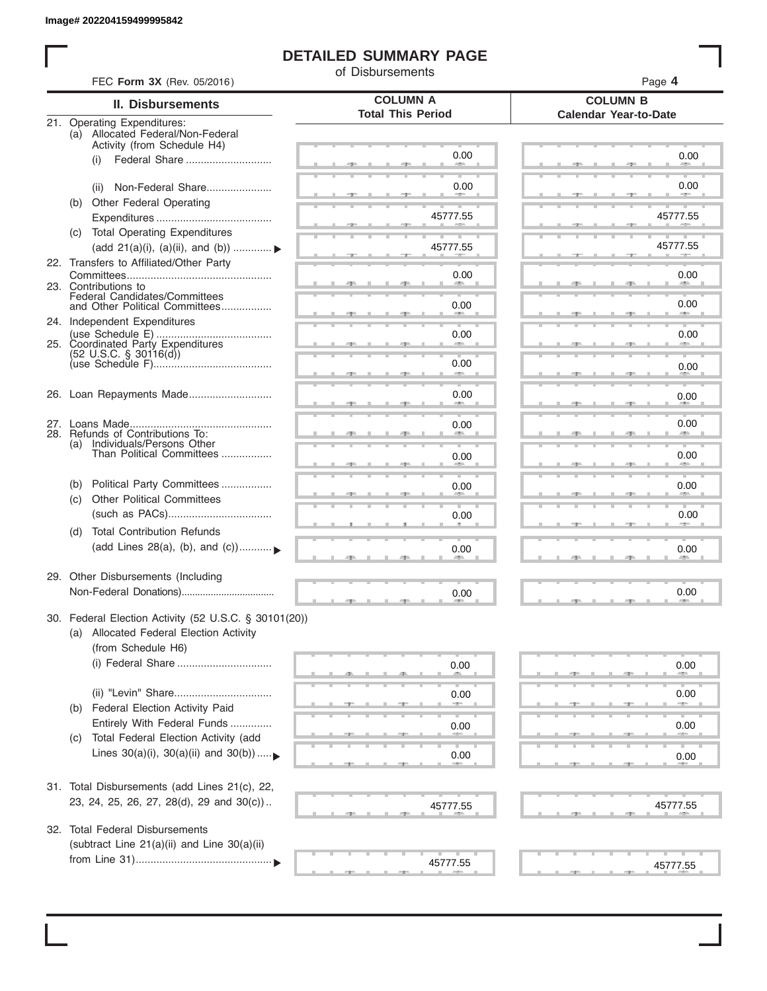I

## **DETAILED SUMMARY PAGE**

of Disbursements

| FEC Form 3X (Rev. 05/2016)                                                                       |                                             | Page 4                                          |
|--------------------------------------------------------------------------------------------------|---------------------------------------------|-------------------------------------------------|
| II. Disbursements                                                                                | <b>COLUMN A</b><br><b>Total This Period</b> | <b>COLUMN B</b><br><b>Calendar Year-to-Date</b> |
| 21. Operating Expenditures:<br>(a) Allocated Federal/Non-Federal<br>Activity (from Schedule H4)  |                                             |                                                 |
| (i)                                                                                              | 0.00                                        | 0.00                                            |
| Non-Federal Share<br>(ii)                                                                        | 0.00                                        | 0.00                                            |
| (b) Other Federal Operating                                                                      | 45777.55                                    | 45777.55                                        |
| (c) Total Operating Expenditures<br>(add 21(a)(i), (a)(ii), and (b))  ▶                          | 45777.55                                    | 45777.55                                        |
| 22. Transfers to Affiliated/Other Party                                                          | 0.00                                        | 0.00                                            |
| 23. Contributions to<br>Federal Candidates/Committees<br>and Other Political Committees          |                                             | 0.00                                            |
| 24. Independent Expenditures                                                                     | 0.00                                        |                                                 |
| 25. Coordinated Party Expenditures                                                               | 0.00                                        | 0.00                                            |
| $(52 \text{ U.S.C. }$ § 30116(d))                                                                | 0.00<br><b>SERVICE</b>                      | 0.00                                            |
| 26. Loan Repayments Made                                                                         | 0.00                                        | 0.00                                            |
| 28. Refunds of Contributions To:                                                                 | 0.00                                        | 0.00                                            |
| (a) Individuals/Persons Other<br>Than Political Committees                                       | 0.00                                        | 0.00                                            |
| Political Party Committees<br>(b)                                                                | 0.00                                        | 0.00                                            |
| <b>Other Political Committees</b><br>(c)                                                         | 0.00                                        | 0.00                                            |
| <b>Total Contribution Refunds</b><br>(d)<br>(add Lines 28(a), (b), and (c))                      | 0.00                                        | 0.00                                            |
| 29. Other Disbursements (Including                                                               | 0.00                                        | 0.00                                            |
| 30. Federal Election Activity (52 U.S.C. § 30101(20))<br>(a) Allocated Federal Election Activity |                                             |                                                 |
| (from Schedule H6)                                                                               |                                             |                                                 |
|                                                                                                  | 0.00                                        | 0.00                                            |
| (ii) "Levin" Share<br>Federal Election Activity Paid<br>(b)                                      | 0.00                                        | 0.00                                            |
| Entirely With Federal Funds<br>Total Federal Election Activity (add                              | 0.00                                        | 0.00                                            |
| (C)<br>Lines $30(a)(i)$ , $30(a)(ii)$ and $30(b))$                                               | 0.00                                        | 0.00                                            |
| 31. Total Disbursements (add Lines 21(c), 22,                                                    |                                             |                                                 |
| 23, 24, 25, 26, 27, 28(d), 29 and 30(c))                                                         | 45777.55                                    | 45777.55                                        |
| 32. Total Federal Disbursements<br>(subtract Line 21(a)(ii) and Line 30(a)(ii)                   |                                             |                                                 |
|                                                                                                  | 45777.55                                    | 45777.55                                        |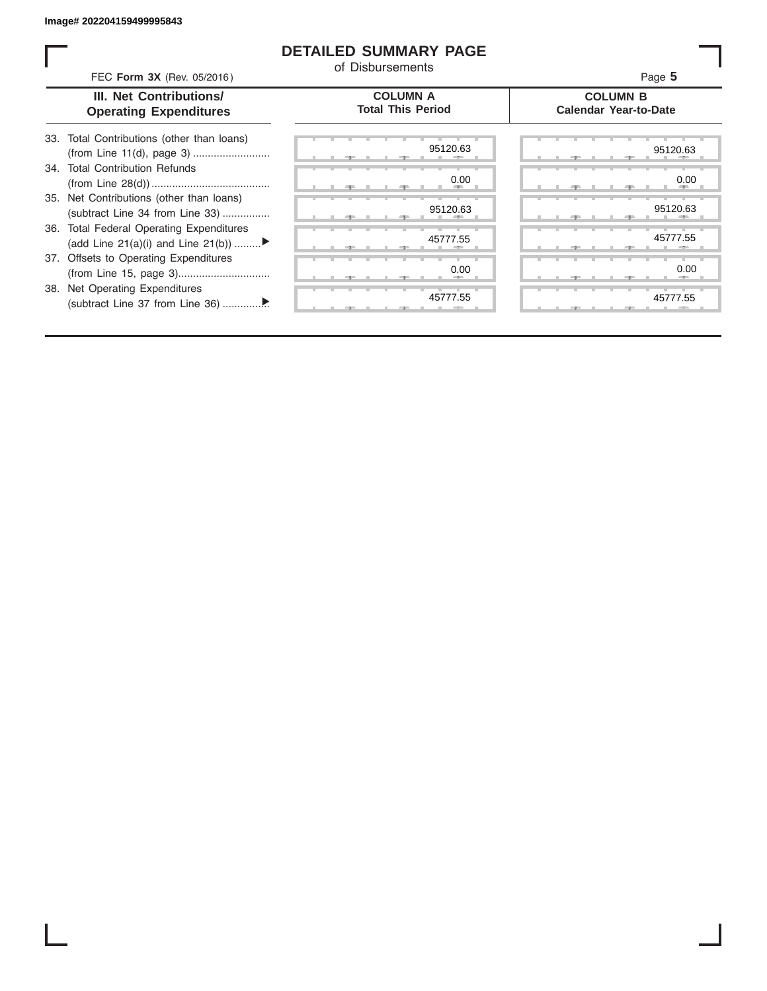### **DETAILED SUMMARY PAGE**

of Disbursements

FEC **Form 3X** (Rev. 05/2016) **Page 5 Product CO Product CO Page 5** 

|  | <b>III. Net Contributions/</b> |  |
|--|--------------------------------|--|
|  | <b>Operating Expenditures</b>  |  |

#### **COLUMN A Total This Period**

#### **COLUMN B Calendar Year-to-Date**

| 33. Total Contributions (other than loans) |  |
|--------------------------------------------|--|
| 34. Total Contribution Refunds             |  |
|                                            |  |
| 35. Net Contributions (other than loans)   |  |
| (subtract Line 34 from Line 33)            |  |
| 36. Total Federal Operating Expenditures   |  |
| (add Line 21(a)(i) and Line 21(b))         |  |
| 37. Offsets to Operating Expenditures      |  |
|                                            |  |
| 38. Net Operating Expenditures             |  |
|                                            |  |

| 95120.63 | 95120.6         |
|----------|-----------------|
|          |                 |
| 0.00     | 0.0             |
| -        |                 |
| 95120.63 | 95120.6         |
|          |                 |
| 45777.55 | 45777.5         |
|          |                 |
| 0.00     | 0. <sub>C</sub> |
| --       | --              |
| 45777.55 | 45777.5         |
|          |                 |

|       | 95120.63                  | 95120.63           |
|-------|---------------------------|--------------------|
|       | 0.00<br><b>All Street</b> | 0.00<br><b>AND</b> |
|       | 95120.63<br>п.            | 95120.63<br>a.     |
|       | 45777.55                  | 45777.55           |
|       | 0.00                      | 0.00               |
| $-7-$ | 45777.55                  | 45777.55           |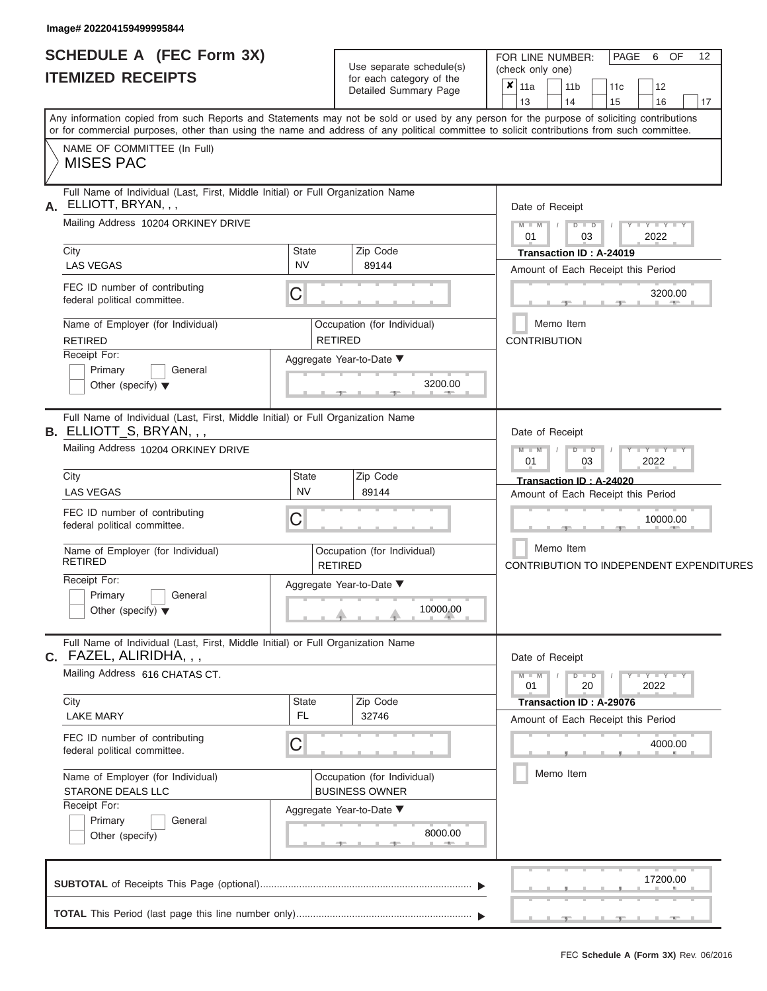#### **Image# 202204159499995844**

|                          | <b>SCHEDULE A (FEC Form 3X)</b> |
|--------------------------|---------------------------------|
| <b>ITEMIZED RECEIPTS</b> |                                 |

| SCHEDULE A (FEC Form 3X)<br><b>ITEMIZED RECEIPTS</b>                                                                                                                                                                                                                                    | Use separate schedule(s)<br>for each category of the                     | 12<br>FOR LINE NUMBER:<br>PAGE<br>OF<br>6<br>(check only one)                                         |
|-----------------------------------------------------------------------------------------------------------------------------------------------------------------------------------------------------------------------------------------------------------------------------------------|--------------------------------------------------------------------------|-------------------------------------------------------------------------------------------------------|
|                                                                                                                                                                                                                                                                                         | Detailed Summary Page                                                    | $\overline{\mathbf{x}}$ 11a<br>11 <sub>b</sub><br>11 <sub>c</sub><br>12<br>13<br>14<br>15<br>16<br>17 |
| Any information copied from such Reports and Statements may not be sold or used by any person for the purpose of soliciting contributions<br>or for commercial purposes, other than using the name and address of any political committee to solicit contributions from such committee. |                                                                          |                                                                                                       |
| NAME OF COMMITTEE (In Full)<br><b>MISES PAC</b>                                                                                                                                                                                                                                         |                                                                          |                                                                                                       |
| Full Name of Individual (Last, First, Middle Initial) or Full Organization Name<br>ELLIOTT, BRYAN, , ,                                                                                                                                                                                  |                                                                          | Date of Receipt                                                                                       |
| Mailing Address 10204 ORKINEY DRIVE                                                                                                                                                                                                                                                     |                                                                          | $M = M$ /<br>$D$ $D$<br>$Y - Y - Y - Y - Y$<br>01<br>03<br>2022                                       |
| City<br><b>LAS VEGAS</b>                                                                                                                                                                                                                                                                | <b>State</b><br>Zip Code<br><b>NV</b><br>89144                           | Transaction ID: A-24019<br>Amount of Each Receipt this Period                                         |
| FEC ID number of contributing<br>C<br>federal political committee.                                                                                                                                                                                                                      |                                                                          | 3200.00<br><b>CONTRACTOR</b><br>-40-                                                                  |
| Name of Employer (for Individual)<br><b>RETIRED</b>                                                                                                                                                                                                                                     | Occupation (for Individual)<br><b>RETIRED</b>                            | Memo Item<br><b>CONTRIBUTION</b>                                                                      |
| Receipt For:<br>Primary<br>General<br>Other (specify) $\blacktriangledown$                                                                                                                                                                                                              | Aggregate Year-to-Date ▼<br>3200.00<br><b>Contract Contract Contract</b> |                                                                                                       |
| Full Name of Individual (Last, First, Middle Initial) or Full Organization Name<br>B. ELLIOTT_S, BRYAN, , ,                                                                                                                                                                             |                                                                          | Date of Receipt                                                                                       |
| Mailing Address 10204 ORKINEY DRIVE                                                                                                                                                                                                                                                     |                                                                          | $M$ $M$<br>$D$ $\Box$ $D$<br>$Y$ $Y$ $Y$ $Y$<br>01<br>2022<br>03                                      |
| City<br><b>LAS VEGAS</b>                                                                                                                                                                                                                                                                | State<br>Zip Code<br><b>NV</b><br>89144                                  | Transaction ID: A-24020<br>Amount of Each Receipt this Period                                         |
| FEC ID number of contributing<br>C<br>federal political committee.                                                                                                                                                                                                                      |                                                                          | 10000.00                                                                                              |
| Name of Employer (for Individual)<br><b>RETIRED</b>                                                                                                                                                                                                                                     | Occupation (for Individual)<br><b>RETIRED</b>                            | Memo Item<br>CONTRIBUTION TO INDEPENDENT EXPENDITURES                                                 |
| Receipt For:<br>Primary<br>General<br>Other (specify) $\blacktriangledown$                                                                                                                                                                                                              | Aggregate Year-to-Date ▼<br>10000.00                                     |                                                                                                       |
| Full Name of Individual (Last, First, Middle Initial) or Full Organization Name<br>C. FAZEL, ALIRIDHA, , ,                                                                                                                                                                              |                                                                          | Date of Receipt                                                                                       |
| Mailing Address 616 CHATAS CT.                                                                                                                                                                                                                                                          |                                                                          | $M - M$<br>$D$ $D$<br>$Y - Y - Y - Y - Y$<br>01<br>20<br>2022                                         |
| City<br><b>LAKE MARY</b>                                                                                                                                                                                                                                                                | Zip Code<br>State<br>FL.<br>32746                                        | Transaction ID: A-29076<br>Amount of Each Receipt this Period                                         |
| FEC ID number of contributing<br>С<br>federal political committee.                                                                                                                                                                                                                      |                                                                          | 4000.00                                                                                               |
| Name of Employer (for Individual)<br>STARONE DEALS LLC                                                                                                                                                                                                                                  | Occupation (for Individual)<br><b>BUSINESS OWNER</b>                     | Memo Item                                                                                             |
| Receipt For:<br>Primary<br>General<br>Other (specify)                                                                                                                                                                                                                                   | Aggregate Year-to-Date ▼<br>8000.00<br>$-1$                              |                                                                                                       |
|                                                                                                                                                                                                                                                                                         |                                                                          | 17200.00                                                                                              |
|                                                                                                                                                                                                                                                                                         |                                                                          | لتتقص المستقرق والمستقرق والمستقر                                                                     |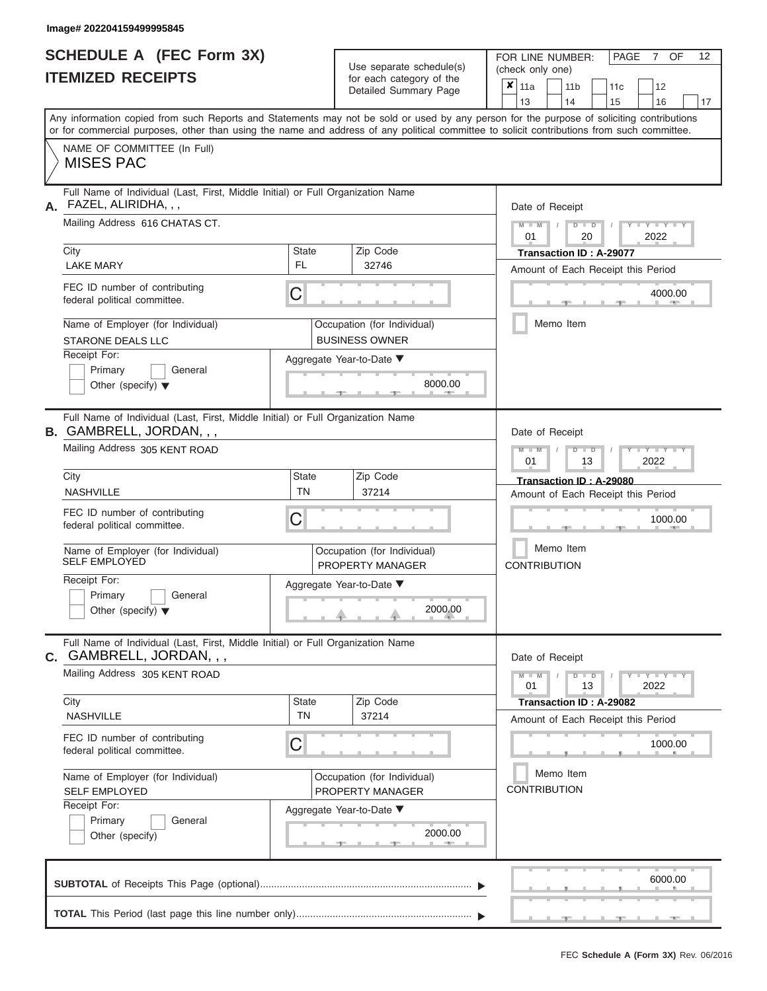#### **Image# 202204159499995845**

|                          | <b>SCHEDULE A (FEC Form 3X)</b> |
|--------------------------|---------------------------------|
| <b>ITEMIZED RECEIPTS</b> |                                 |

| SCHEDULE A (FEC Form 3X)<br><b>ITEMIZED RECEIPTS</b>                                                               | Use separate schedule(s)<br>for each category of the                     | 12<br>FOR LINE NUMBER:<br>PAGE<br><b>OF</b><br>7<br>(check only one)                                                                                                                                                                                                                    |  |  |
|--------------------------------------------------------------------------------------------------------------------|--------------------------------------------------------------------------|-----------------------------------------------------------------------------------------------------------------------------------------------------------------------------------------------------------------------------------------------------------------------------------------|--|--|
|                                                                                                                    | Detailed Summary Page                                                    | $\boldsymbol{x}$<br>11a<br>11 <sub>b</sub><br>12<br>11 <sub>c</sub><br>13<br>14<br>15<br>16<br>17                                                                                                                                                                                       |  |  |
|                                                                                                                    |                                                                          | Any information copied from such Reports and Statements may not be sold or used by any person for the purpose of soliciting contributions<br>or for commercial purposes, other than using the name and address of any political committee to solicit contributions from such committee. |  |  |
| NAME OF COMMITTEE (In Full)<br><b>MISES PAC</b>                                                                    |                                                                          |                                                                                                                                                                                                                                                                                         |  |  |
| Full Name of Individual (Last, First, Middle Initial) or Full Organization Name<br>FAZEL, ALIRIDHA, , ,            |                                                                          | Date of Receipt                                                                                                                                                                                                                                                                         |  |  |
| Mailing Address 616 CHATAS CT.                                                                                     |                                                                          | $M = M$ /<br>$D$ $D$<br>$\mathbf{I} = \mathbf{Y} + \mathbf{Y}$<br>01<br>20<br>2022                                                                                                                                                                                                      |  |  |
| City<br><b>LAKE MARY</b>                                                                                           | <b>State</b><br>Zip Code<br><b>FL</b><br>32746                           | Transaction ID: A-29077<br>Amount of Each Receipt this Period                                                                                                                                                                                                                           |  |  |
| FEC ID number of contributing<br>federal political committee.                                                      | C                                                                        | 4000.00<br><b>AND IN</b>                                                                                                                                                                                                                                                                |  |  |
| Name of Employer (for Individual)<br><b>STARONE DEALS LLC</b>                                                      | Occupation (for Individual)<br><b>BUSINESS OWNER</b>                     | Memo Item                                                                                                                                                                                                                                                                               |  |  |
| Receipt For:<br>Primary<br>General<br>Other (specify) $\blacktriangledown$                                         | Aggregate Year-to-Date ▼<br>8000.00<br><b>Contract Contract Contract</b> |                                                                                                                                                                                                                                                                                         |  |  |
| Full Name of Individual (Last, First, Middle Initial) or Full Organization Name<br><b>B.</b> GAMBRELL, JORDAN, , , |                                                                          | Date of Receipt                                                                                                                                                                                                                                                                         |  |  |
| Mailing Address 305 KENT ROAD                                                                                      |                                                                          | $M - M$<br>$D$ $D$<br>$T - Y = T - T$<br>01<br>2022<br>13                                                                                                                                                                                                                               |  |  |
| City<br><b>NASHVILLE</b>                                                                                           | State<br>Zip Code<br><b>TN</b><br>37214                                  | Transaction ID: A-29080<br>Amount of Each Receipt this Period                                                                                                                                                                                                                           |  |  |
| FEC ID number of contributing<br>federal political committee.                                                      | C                                                                        | 1000.00                                                                                                                                                                                                                                                                                 |  |  |
| Name of Employer (for Individual)<br><b>SELF EMPLOYED</b>                                                          | Occupation (for Individual)<br>PROPERTY MANAGER                          | Memo Item<br><b>CONTRIBUTION</b>                                                                                                                                                                                                                                                        |  |  |
| Receipt For:<br>Primary<br>General                                                                                 | Aggregate Year-to-Date ▼                                                 |                                                                                                                                                                                                                                                                                         |  |  |
| Other (specify) $\blacktriangledown$                                                                               | 2000.00                                                                  |                                                                                                                                                                                                                                                                                         |  |  |
| Full Name of Individual (Last, First, Middle Initial) or Full Organization Name<br>C. GAMBRELL, JORDAN, , ,        |                                                                          | Date of Receipt                                                                                                                                                                                                                                                                         |  |  |
| Mailing Address 305 KENT ROAD                                                                                      |                                                                          | $M - M$<br>$D$ $D$<br>$T$ $T$ $T$ $T$ $T$ $T$ $T$ $T$ $T$<br>01<br>13<br>2022                                                                                                                                                                                                           |  |  |
| City<br><b>NASHVILLE</b>                                                                                           | <b>State</b><br>Zip Code<br><b>TN</b><br>37214                           | Transaction ID: A-29082<br>Amount of Each Receipt this Period                                                                                                                                                                                                                           |  |  |
| FEC ID number of contributing<br>federal political committee.                                                      | C                                                                        | 1000.00                                                                                                                                                                                                                                                                                 |  |  |
| Name of Employer (for Individual)<br><b>SELF EMPLOYED</b>                                                          | Occupation (for Individual)<br>PROPERTY MANAGER                          | Memo Item<br><b>CONTRIBUTION</b>                                                                                                                                                                                                                                                        |  |  |
| Receipt For:<br>Primary<br>General<br>Other (specify)                                                              | Aggregate Year-to-Date ▼<br>2000.00<br>$-1$                              |                                                                                                                                                                                                                                                                                         |  |  |
|                                                                                                                    |                                                                          | 6000.00                                                                                                                                                                                                                                                                                 |  |  |
|                                                                                                                    |                                                                          | $-1$                                                                                                                                                                                                                                                                                    |  |  |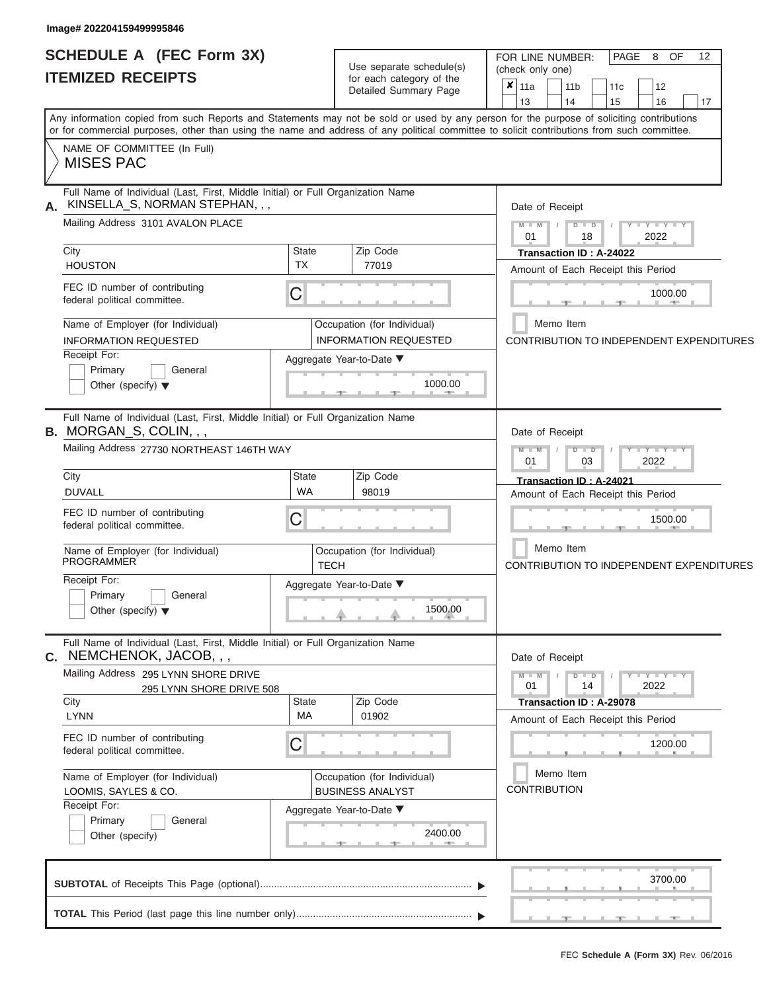# **SCHEDULE A (FEC Form 3X)**

| <b>SCHEDULE A (FEC Form 3X)</b><br><b>ITEMIZED RECEIPTS</b>                                                                                     | Use separate schedule(s)<br>for each category of the<br>Detailed Summary Page                                                                                                                                                                                                           | 12<br>PAGE<br>8 OF<br>FOR LINE NUMBER:<br>(check only one)<br>×<br>11a<br>11 <sub>b</sub><br>12<br>11c                  |
|-------------------------------------------------------------------------------------------------------------------------------------------------|-----------------------------------------------------------------------------------------------------------------------------------------------------------------------------------------------------------------------------------------------------------------------------------------|-------------------------------------------------------------------------------------------------------------------------|
| NAME OF COMMITTEE (In Full)                                                                                                                     | Any information copied from such Reports and Statements may not be sold or used by any person for the purpose of soliciting contributions<br>or for commercial purposes, other than using the name and address of any political committee to solicit contributions from such committee. | 13<br>14<br>16<br>17<br>15                                                                                              |
| <b>MISES PAC</b>                                                                                                                                |                                                                                                                                                                                                                                                                                         |                                                                                                                         |
| KINSELLA_S, NORMAN STEPHAN, , ,<br>А.<br>Mailing Address 3101 AVALON PLACE<br>City                                                              | Full Name of Individual (Last, First, Middle Initial) or Full Organization Name<br>Zip Code<br><b>State</b>                                                                                                                                                                             | Date of Receipt<br>$M - M$<br>$D$ $\Box$ $D$<br>$Y - Y - Y$<br>2022<br>18<br>01<br>Transaction ID: A-24022              |
| <b>HOUSTON</b><br>FEC ID number of contributing<br>federal political committee.                                                                 | <b>TX</b><br>77019<br>C                                                                                                                                                                                                                                                                 | Amount of Each Receipt this Period<br>1000.00                                                                           |
| Name of Employer (for Individual)<br><b>INFORMATION REQUESTED</b><br>Receipt For:<br>Primary<br>General<br>Other (specify) $\blacktriangledown$ | Occupation (for Individual)<br><b>INFORMATION REQUESTED</b><br>Aggregate Year-to-Date ▼<br>1000.00                                                                                                                                                                                      | Memo Item<br>CONTRIBUTION TO INDEPENDENT EXPENDITURES                                                                   |
| <b>B.</b> MORGAN_S, COLIN,,,<br>Mailing Address 27730 NORTHEAST 146TH WAY                                                                       | Full Name of Individual (Last, First, Middle Initial) or Full Organization Name                                                                                                                                                                                                         | Date of Receipt<br>$M - M$<br>Y L Y L Y<br>$D$ $D$<br>2022<br>03<br>01                                                  |
| City<br><b>DUVALL</b>                                                                                                                           | Zip Code<br><b>State</b><br><b>WA</b><br>98019                                                                                                                                                                                                                                          | Transaction ID: A-24021<br>Amount of Each Receipt this Period                                                           |
| FEC ID number of contributing<br>federal political committee.                                                                                   | С                                                                                                                                                                                                                                                                                       | 1500.00                                                                                                                 |
| Name of Employer (for Individual)<br><b>PROGRAMMER</b>                                                                                          | Occupation (for Individual)<br><b>TECH</b>                                                                                                                                                                                                                                              | Memo Item<br>CONTRIBUTION TO INDEPENDENT EXPENDITURES                                                                   |
| Receipt For:<br>Primary<br>General<br>Other (specify) $\blacktriangledown$                                                                      | Aggregate Year-to-Date ▼<br>1500.00                                                                                                                                                                                                                                                     |                                                                                                                         |
| C. NEMCHENOK, JACOB, , ,                                                                                                                        | Full Name of Individual (Last, First, Middle Initial) or Full Organization Name                                                                                                                                                                                                         | Date of Receipt                                                                                                         |
| Mailing Address 295 LYNN SHORE DRIVE<br>295 LYNN SHORE DRIVE 508<br>City<br><b>LYNN</b>                                                         | Zip Code<br><b>State</b><br>МA<br>01902                                                                                                                                                                                                                                                 | $M - M$<br>$D$ $D$<br>$-Y - Y - Y$<br>01<br>14<br>2022<br>Transaction ID: A-29078<br>Amount of Each Receipt this Period |
| FEC ID number of contributing<br>federal political committee.                                                                                   | С                                                                                                                                                                                                                                                                                       | 1200.00                                                                                                                 |
| Name of Employer (for Individual)<br>LOOMIS, SAYLES & CO.<br>Receipt For:<br>Primary<br>General<br>Other (specify)                              | Occupation (for Individual)<br><b>BUSINESS ANALYST</b><br>Aggregate Year-to-Date ▼<br>2400.00                                                                                                                                                                                           | Memo Item<br><b>CONTRIBUTION</b>                                                                                        |
|                                                                                                                                                 |                                                                                                                                                                                                                                                                                         | 3700.00                                                                                                                 |
|                                                                                                                                                 |                                                                                                                                                                                                                                                                                         |                                                                                                                         |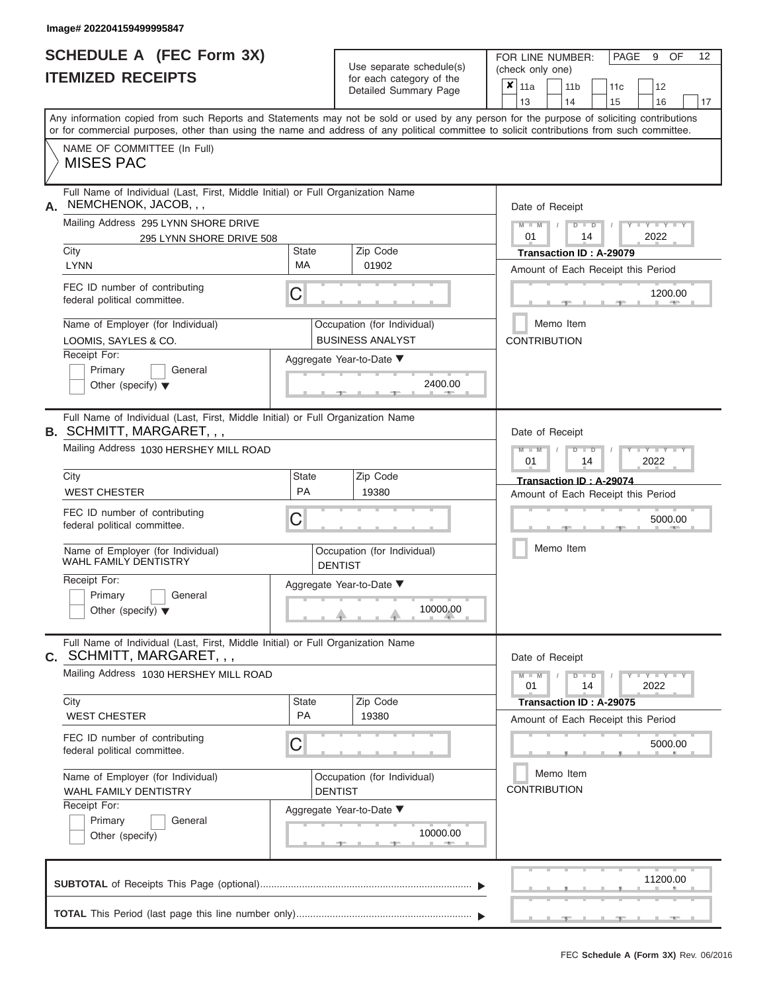# **SCHEDULE A (FEC Form 3X)**

FOR LINE NUMBER:

| <b>ITEMIZED RECEIPTS</b>                                                                                            |                                                    | Use separate schedule(s)<br>for each category of the<br>Detailed Summary Page | (check only one)<br>$x _{11a}$<br>12<br>11 <sub>b</sub><br>11 <sub>c</sub><br>14<br>13<br>15<br>17<br>16                                                                                                                                                                                |  |  |  |
|---------------------------------------------------------------------------------------------------------------------|----------------------------------------------------|-------------------------------------------------------------------------------|-----------------------------------------------------------------------------------------------------------------------------------------------------------------------------------------------------------------------------------------------------------------------------------------|--|--|--|
|                                                                                                                     |                                                    |                                                                               | Any information copied from such Reports and Statements may not be sold or used by any person for the purpose of soliciting contributions<br>or for commercial purposes, other than using the name and address of any political committee to solicit contributions from such committee. |  |  |  |
| NAME OF COMMITTEE (In Full)<br><b>MISES PAC</b>                                                                     |                                                    |                                                                               |                                                                                                                                                                                                                                                                                         |  |  |  |
| Full Name of Individual (Last, First, Middle Initial) or Full Organization Name<br>NEMCHENOK, JACOB, , ,<br>А.      |                                                    |                                                                               | Date of Receipt                                                                                                                                                                                                                                                                         |  |  |  |
| Mailing Address 295 LYNN SHORE DRIVE<br>295 LYNN SHORE DRIVE 508                                                    |                                                    |                                                                               | $M - M$<br>$D$ $D$<br>$Y - Y - I$<br>01<br>2022<br>14                                                                                                                                                                                                                                   |  |  |  |
| City<br><b>LYNN</b>                                                                                                 | <b>State</b><br>МA                                 | Zip Code<br>01902                                                             | Transaction ID: A-29079<br>Amount of Each Receipt this Period                                                                                                                                                                                                                           |  |  |  |
| FEC ID number of contributing<br>federal political committee.                                                       | С                                                  |                                                                               | 1200.00                                                                                                                                                                                                                                                                                 |  |  |  |
| Name of Employer (for Individual)<br>LOOMIS, SAYLES & CO.<br>Receipt For:                                           |                                                    | Occupation (for Individual)<br><b>BUSINESS ANALYST</b>                        | Memo Item<br><b>CONTRIBUTION</b>                                                                                                                                                                                                                                                        |  |  |  |
| Primary<br>General<br>Other (specify) $\blacktriangledown$                                                          |                                                    | Aggregate Year-to-Date ▼<br>2400.00                                           |                                                                                                                                                                                                                                                                                         |  |  |  |
| Full Name of Individual (Last, First, Middle Initial) or Full Organization Name<br><b>B. SCHMITT, MARGARET, , ,</b> |                                                    |                                                                               | Date of Receipt                                                                                                                                                                                                                                                                         |  |  |  |
| Mailing Address 1030 HERSHEY MILL ROAD                                                                              | $M - M$<br>$-Y$<br>D<br>$\Box$<br>2022<br>01<br>14 |                                                                               |                                                                                                                                                                                                                                                                                         |  |  |  |
| City<br><b>WEST CHESTER</b>                                                                                         | State<br>PA                                        | Zip Code<br>19380                                                             | Transaction ID: A-29074<br>Amount of Each Receipt this Period                                                                                                                                                                                                                           |  |  |  |
| FEC ID number of contributing<br>federal political committee.                                                       | C                                                  |                                                                               | 5000.00                                                                                                                                                                                                                                                                                 |  |  |  |
| Name of Employer (for Individual)<br><b>WAHL FAMILY DENTISTRY</b>                                                   |                                                    | Occupation (for Individual)<br><b>DENTIST</b>                                 | Memo Item                                                                                                                                                                                                                                                                               |  |  |  |
| Receipt For:<br>Primary<br>General<br>Other (specify) $\blacktriangledown$                                          |                                                    | Aggregate Year-to-Date ▼<br>10000.00                                          |                                                                                                                                                                                                                                                                                         |  |  |  |
| Full Name of Individual (Last, First, Middle Initial) or Full Organization Name<br><b>C. SCHMITT, MARGARET, , ,</b> |                                                    |                                                                               | Date of Receipt                                                                                                                                                                                                                                                                         |  |  |  |
| Mailing Address 1030 HERSHEY MILL ROAD                                                                              |                                                    | $M - M$<br>$D$ $D$<br>$T - Y - T - Y - T - Y$<br>01<br>14<br>2022             |                                                                                                                                                                                                                                                                                         |  |  |  |
| City<br><b>WEST CHESTER</b>                                                                                         | State<br>PA                                        | Zip Code<br>19380                                                             | Transaction ID: A-29075<br>Amount of Each Receipt this Period                                                                                                                                                                                                                           |  |  |  |
| FEC ID number of contributing<br>federal political committee.                                                       | Ĉ                                                  |                                                                               | 5000.00                                                                                                                                                                                                                                                                                 |  |  |  |
| Name of Employer (for Individual)<br>WAHL FAMILY DENTISTRY                                                          |                                                    | Occupation (for Individual)<br><b>DENTIST</b>                                 | Memo Item<br><b>CONTRIBUTION</b>                                                                                                                                                                                                                                                        |  |  |  |
| Receipt For:<br>Primary<br>General<br>Other (specify)                                                               |                                                    | Aggregate Year-to-Date ▼<br>10000.00                                          |                                                                                                                                                                                                                                                                                         |  |  |  |
|                                                                                                                     |                                                    |                                                                               | 11200.00                                                                                                                                                                                                                                                                                |  |  |  |
|                                                                                                                     |                                                    |                                                                               |                                                                                                                                                                                                                                                                                         |  |  |  |

PAGE 9 OF 12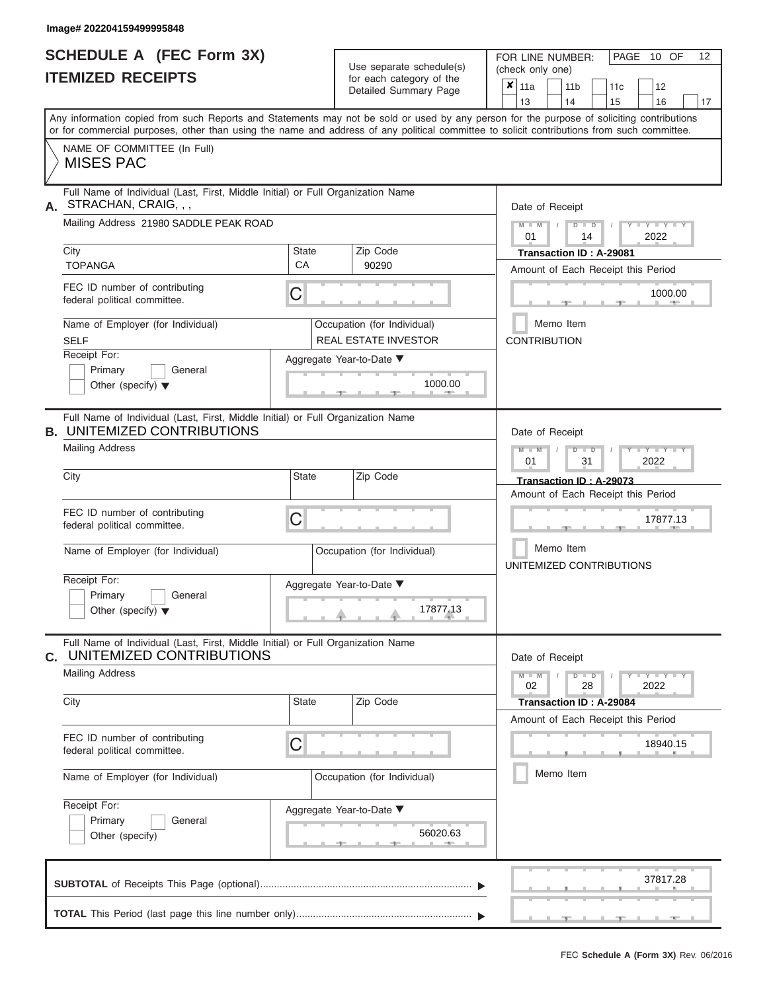#### **Image# 202204159499995848**

ı

|                          | <b>SCHEDULE A (FEC Form 3X)</b> |
|--------------------------|---------------------------------|
| <b>ITEMIZED RECEIPTS</b> |                                 |

Use separate schedule(s) (check only one)<br>for each category of the  $\begin{array}{|c|c|c|c|c|}\n\hline\n\text{Initial Summary goes} & & \text{with } & \text{with } & \text{with } & \text{with } & \text{with } & \text{with } & \text{with } & \text{with } & \text{with } & \text{with } & \text{with } & \text{with } & \text{with } & \text{with } & \text{with } & \text{with } & \text{with } & \text{with } & \text{with } & \text{with } & \text$ 

FOR LINE NUMBER:

 $\overline{\phantom{0}}$ 

PAGE 10 OF 12

 $\overline{\phantom{0}}$ 

|                                                                                                                                            |                                                                                 | Detailed Summary Page                                      | $\boldsymbol{x}$  <br>11a<br>11 <sub>b</sub><br>12<br>11c<br>13<br>16<br>14<br>15<br>17                                                   |  |  |  |
|--------------------------------------------------------------------------------------------------------------------------------------------|---------------------------------------------------------------------------------|------------------------------------------------------------|-------------------------------------------------------------------------------------------------------------------------------------------|--|--|--|
| or for commercial purposes, other than using the name and address of any political committee to solicit contributions from such committee. |                                                                                 |                                                            | Any information copied from such Reports and Statements may not be sold or used by any person for the purpose of soliciting contributions |  |  |  |
| NAME OF COMMITTEE (In Full)<br><b>MISES PAC</b>                                                                                            |                                                                                 |                                                            |                                                                                                                                           |  |  |  |
| STRACHAN, CRAIG, , ,<br>А.                                                                                                                 | Full Name of Individual (Last, First, Middle Initial) or Full Organization Name |                                                            |                                                                                                                                           |  |  |  |
| Mailing Address 21980 SADDLE PEAK ROAD                                                                                                     |                                                                                 |                                                            | $Y = Y =$<br>$D$ $\Box$ $D$<br>$M - M$<br>2022<br>01<br>14                                                                                |  |  |  |
| City<br><b>TOPANGA</b>                                                                                                                     | State<br>CA                                                                     | Zip Code<br>90290                                          | Transaction ID: A-29081<br>Amount of Each Receipt this Period                                                                             |  |  |  |
| FEC ID number of contributing<br>federal political committee.                                                                              | С                                                                               |                                                            | 1000.00<br><b>AND</b>                                                                                                                     |  |  |  |
| Name of Employer (for Individual)<br><b>SELF</b>                                                                                           |                                                                                 | Occupation (for Individual)<br><b>REAL ESTATE INVESTOR</b> | Memo Item<br><b>CONTRIBUTION</b>                                                                                                          |  |  |  |
| Receipt For:<br>Primary<br>General<br>Other (specify) $\blacktriangledown$                                                                 |                                                                                 | Aggregate Year-to-Date ▼<br>1000.00                        |                                                                                                                                           |  |  |  |
| Full Name of Individual (Last, First, Middle Initial) or Full Organization Name<br><b>B. UNITEMIZED CONTRIBUTIONS</b>                      |                                                                                 |                                                            | Date of Receipt                                                                                                                           |  |  |  |
| <b>Mailing Address</b>                                                                                                                     |                                                                                 |                                                            | $D - I - D$<br>$-Y - Y - Y - Y$<br>$M - M$<br>2022<br>01<br>31                                                                            |  |  |  |
| City                                                                                                                                       | State                                                                           | Zip Code                                                   | Transaction ID: A-29073<br>Amount of Each Receipt this Period                                                                             |  |  |  |
| FEC ID number of contributing<br>federal political committee.                                                                              | C                                                                               |                                                            | 17877.13                                                                                                                                  |  |  |  |
| Name of Employer (for Individual)                                                                                                          |                                                                                 | Occupation (for Individual)                                | Memo Item<br>UNITEMIZED CONTRIBUTIONS                                                                                                     |  |  |  |
| Receipt For:<br>Primary<br>General<br>Other (specify) $\blacktriangledown$                                                                 |                                                                                 | Aggregate Year-to-Date ▼<br>17877.13                       |                                                                                                                                           |  |  |  |
| Full Name of Individual (Last, First, Middle Initial) or Full Organization Name<br>UNITEMIZED CONTRIBUTIONS<br>С.                          |                                                                                 |                                                            | Date of Receipt                                                                                                                           |  |  |  |
| <b>Mailing Address</b>                                                                                                                     |                                                                                 |                                                            | $-Y - Y - Y - Y$<br>$M - M$<br>$D$ $D$<br>28<br>2022<br>02                                                                                |  |  |  |
| City                                                                                                                                       | State                                                                           | Zip Code                                                   | Transaction ID: A-29084<br>Amount of Each Receipt this Period                                                                             |  |  |  |
| FEC ID number of contributing<br>federal political committee.                                                                              | C                                                                               |                                                            | 18940.15                                                                                                                                  |  |  |  |
| Name of Employer (for Individual)                                                                                                          |                                                                                 | Occupation (for Individual)                                | Memo Item                                                                                                                                 |  |  |  |
| Receipt For:<br>Primary<br>General<br>Other (specify)                                                                                      |                                                                                 | Aggregate Year-to-Date ▼<br>56020.63                       |                                                                                                                                           |  |  |  |
|                                                                                                                                            |                                                                                 |                                                            | 37817.28                                                                                                                                  |  |  |  |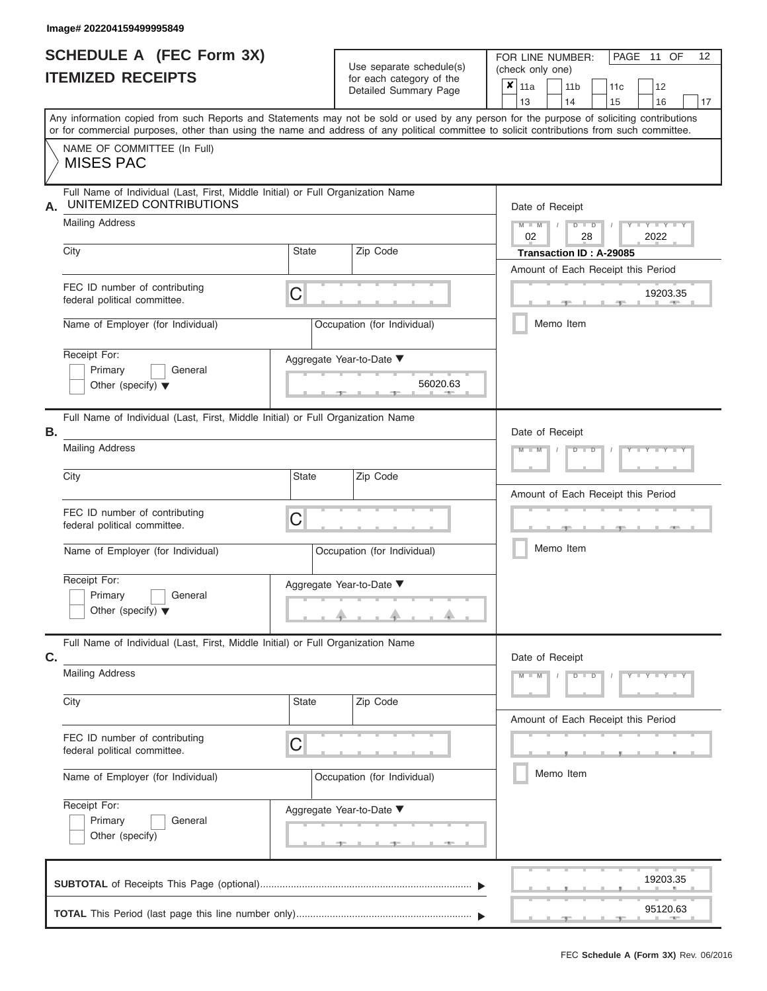| <b>SCHEDULE A (FEC Form 3X)</b> |  |
|---------------------------------|--|
| <b>ITEMIZED RECEIPTS</b>        |  |

| SCHEDULE A (FEC Form 3X)                                   |                                                                                                                                                                                                                                                                                         | Use separate schedule(s) | FOR LINE NUMBER:<br>(check only one)              |                             | 12<br>PAGE 11 OF        |                                         |
|------------------------------------------------------------|-----------------------------------------------------------------------------------------------------------------------------------------------------------------------------------------------------------------------------------------------------------------------------------------|--------------------------|---------------------------------------------------|-----------------------------|-------------------------|-----------------------------------------|
|                                                            | <b>ITEMIZED RECEIPTS</b>                                                                                                                                                                                                                                                                |                          | for each category of the<br>Detailed Summary Page | $\mathbf{x}$<br>  11a<br>13 | 11 <sub>b</sub><br>14   | 12<br>11 <sub>c</sub><br>15<br>16<br>17 |
|                                                            | Any information copied from such Reports and Statements may not be sold or used by any person for the purpose of soliciting contributions<br>or for commercial purposes, other than using the name and address of any political committee to solicit contributions from such committee. |                          |                                                   |                             |                         |                                         |
|                                                            | NAME OF COMMITTEE (In Full)<br><b>MISES PAC</b>                                                                                                                                                                                                                                         |                          |                                                   |                             |                         |                                         |
| А.                                                         | Full Name of Individual (Last, First, Middle Initial) or Full Organization Name<br>UNITEMIZED CONTRIBUTIONS                                                                                                                                                                             |                          |                                                   |                             | Date of Receipt         |                                         |
|                                                            | <b>Mailing Address</b>                                                                                                                                                                                                                                                                  |                          |                                                   | $M = M$ /<br>02             | $D$ $D$<br>28           | $Y - Y - I$<br>2022                     |
|                                                            | City                                                                                                                                                                                                                                                                                    | State                    | Zip Code                                          |                             | Transaction ID: A-29085 | Amount of Each Receipt this Period      |
|                                                            | FEC ID number of contributing<br>federal political committee.                                                                                                                                                                                                                           | С                        |                                                   |                             |                         | 19203.35<br><b>AND A</b>                |
|                                                            | Name of Employer (for Individual)                                                                                                                                                                                                                                                       |                          | Occupation (for Individual)                       |                             | Memo Item               |                                         |
|                                                            | Receipt For:<br>Primary<br>General<br>Other (specify) $\blacktriangledown$                                                                                                                                                                                                              |                          | Aggregate Year-to-Date ▼<br>56020.63              |                             |                         |                                         |
| В.                                                         | Full Name of Individual (Last, First, Middle Initial) or Full Organization Name<br><b>Mailing Address</b>                                                                                                                                                                               |                          | $M - M$                                           | Date of Receipt<br>$D$ $D$  |                         |                                         |
|                                                            | City                                                                                                                                                                                                                                                                                    | <b>State</b>             | Zip Code                                          |                             |                         | Amount of Each Receipt this Period      |
|                                                            | FEC ID number of contributing<br>С<br>federal political committee.                                                                                                                                                                                                                      |                          |                                                   |                             |                         | <b>ARCHITECT</b>                        |
|                                                            | Name of Employer (for Individual)                                                                                                                                                                                                                                                       |                          | Occupation (for Individual)                       | Memo Item                   |                         |                                         |
|                                                            | Receipt For:                                                                                                                                                                                                                                                                            |                          | Aggregate Year-to-Date ▼                          |                             |                         |                                         |
| Primary<br>General<br>Other (specify) $\blacktriangledown$ |                                                                                                                                                                                                                                                                                         |                          |                                                   |                             |                         |                                         |
| C.                                                         | Full Name of Individual (Last, First, Middle Initial) or Full Organization Name                                                                                                                                                                                                         |                          | Date of Receipt                                   |                             |                         |                                         |
|                                                            | <b>Mailing Address</b>                                                                                                                                                                                                                                                                  |                          |                                                   | $M - M$                     | $D$ $\Box$ $D$          | $Y - Y - Y - Y - Y$                     |
|                                                            | City<br>State<br>FEC ID number of contributing<br>С<br>federal political committee.                                                                                                                                                                                                     |                          | Zip Code                                          |                             |                         | Amount of Each Receipt this Period      |
|                                                            |                                                                                                                                                                                                                                                                                         |                          |                                                   |                             |                         |                                         |
| Name of Employer (for Individual)                          |                                                                                                                                                                                                                                                                                         |                          | Occupation (for Individual)                       |                             | Memo Item               |                                         |
|                                                            | Receipt For:<br>Primary<br>General<br>Other (specify)                                                                                                                                                                                                                                   |                          | Aggregate Year-to-Date ▼<br><u>_______</u>        |                             |                         |                                         |
|                                                            |                                                                                                                                                                                                                                                                                         |                          |                                                   |                             |                         | 19203.35                                |
|                                                            |                                                                                                                                                                                                                                                                                         |                          |                                                   |                             |                         | 95120.63                                |